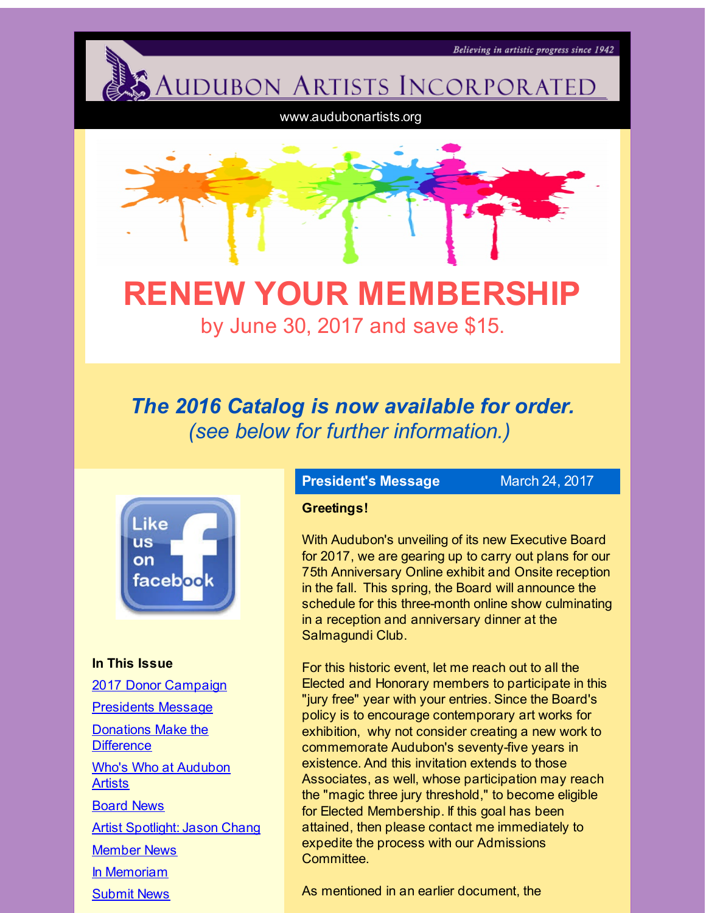**AUDUBON ARTISTS INCORPORATED** 

www.audubonartists.org

<span id="page-0-0"></span>

# **RENEW YOUR MEMBERSHIP** by June 30, 2017 and save \$15.

## *The 2016 Catalog is now available for order. (see below for further information.)*



**In This Issue** 2017 Donor [Campaign](#page-0-0) [Presidents](#page-0-0) Message Donations Make the **[Difference](#page-0-0)** Who's Who at [Audubon](#page-0-0) **Artists** [Board](#page-0-0) News Artist [Spotlight:](#page-0-0) Jason Chang [Member](#page-0-0) News In [Memoriam](#page-0-0) [Submit](#page-0-0) News

## **President's Message** March 24, 2017

Believing in artistic progress since 1942

#### **Greetings!**

With Audubon's unveiling of its new Executive Board for 2017, we are gearing up to carry out plans for our 75th Anniversary Online exhibit and Onsite reception in the fall. This spring, the Board will announce the schedule for this three-month online show culminating in a reception and anniversary dinner at the Salmagundi Club.

For this historic event, let me reach out to all the Elected and Honorary members to participate in this "jury free" year with your entries. Since the Board's policy is to encourage contemporary art works for exhibition, why not consider creating a new work to commemorate Audubon's seventy-five years in existence. And this invitation extends to those Associates, as well, whose participation may reach the "magic three jury threshold," to become eligible for Elected Membership. If this goal has been attained, then please contact me immediately to expedite the process with our Admissions Committee.

As mentioned in an earlier document, the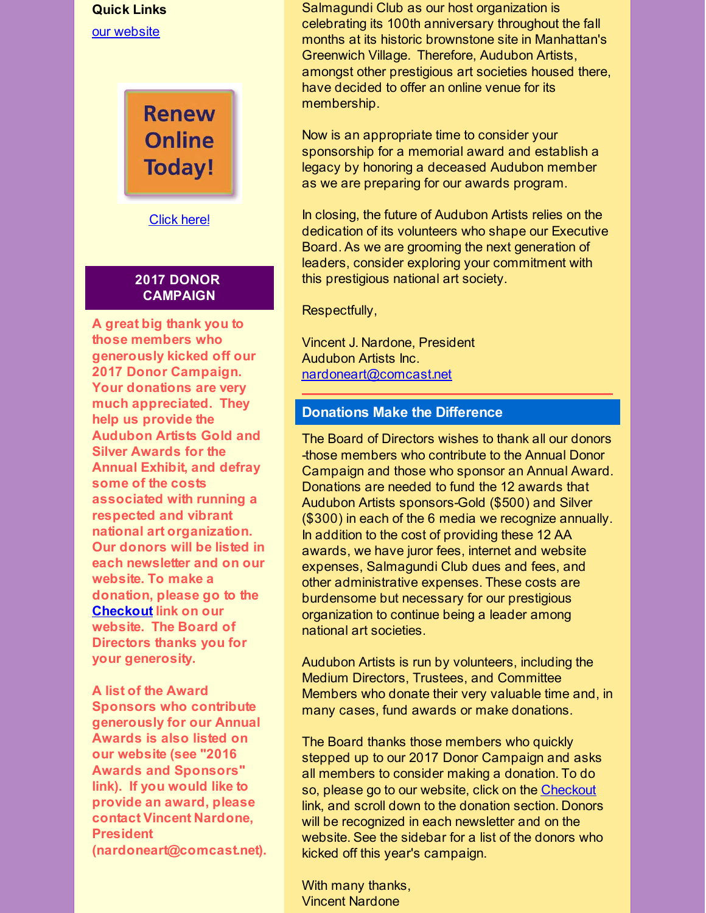## **Quick Links** our [website](http://r20.rs6.net/tn.jsp?f=001pAyFF7PLtYc6aEY8gBRM3Rh2CIWusRIsgva6ZpmM5NmpMH5baHx3Lb-8ThTnAtXIS9cHAsU2obMYYOeuoOqwhVoQnqgpsjLrSR2qRsu8y6OdOepzTdhPuHwRYTOyFhlxlUXvwyKWabHxaGA1kNTeIZW3HqCfYJ5CJwbt-iSOZV_mnSZb0IwfsQ==&c=&ch=)

**Renew Online Today!** 

[Click](http://r20.rs6.net/tn.jsp?f=001pAyFF7PLtYc6aEY8gBRM3Rh2CIWusRIsgva6ZpmM5NmpMH5baHx3LfLuBBrxZNTnTv7dsL2mQbjzAvN9GBTqJaLHlxS8IqH1TbERTzvRItgGKTdWpZzpyS5rwONJK5aLpwhkvPF84vZG30HGvCSt9MikA-m3rA2VkB0Udzz0vfo9wRc-hX0EyV5suobpAuRKVJY-55kZPNo=&c=&ch=) here!

#### **2017 DONOR CAMPAIGN**

**A great big thank you to those members who generously kicked off our 2017 Donor Campaign. Your donations are very much appreciated. They help us provide the Audubon Artists Gold and Silver Awards for the Annual Exhibit, and defray some of the costs associated with running a respected and vibrant national art organization. Our donors will be listed in each newsletter and on our website. To make a donation, please go to the [Checkout](http://r20.rs6.net/tn.jsp?f=001pAyFF7PLtYc6aEY8gBRM3Rh2CIWusRIsgva6ZpmM5NmpMH5baHx3Lc70tC5L2_6PTC6s-A4nsWTwJ6bIYLcdgcOVZ4SfFUHMhNOe4eloA1bATqNjVj8qhbT0H_xlII4PllHZfFolacTeb5M1tj4hMhSHYAKQUPgc25GzurdhS8aDLmGUz8ee9MyA424a1X1Q&c=&ch=) link on our website. The Board of Directors thanks you for your generosity.**

**A list of the Award Sponsors who contribute generously for our Annual Awards is also listed on our website (see "2016 Awards and Sponsors" link). If you would like to provide an award, please contact Vincent Nardone, President (nardoneart@comcast.net).** Salmagundi Club as our host organization is celebrating its 100th anniversary throughout the fall months at its historic brownstone site in Manhattan's Greenwich Village. Therefore, Audubon Artists, amongst other prestigious art societies housed there, have decided to offer an online venue for its membership.

Now is an appropriate time to consider your sponsorship for a memorial award and establish a legacy by honoring a deceased Audubon member as we are preparing for our awards program.

In closing, the future of Audubon Artists relies on the dedication of its volunteers who shape our Executive Board. As we are grooming the next generation of leaders, consider exploring your commitment with this prestigious national art society.

Respectfully,

Vincent J. Nardone, President Audubon Artists Inc. [nardoneart@comcast.net](mailto:nardoneart@comcast.net)

#### **Donations Make the Difference**

The Board of Directors wishes to thank all our donors -those members who contribute to the Annual Donor Campaign and those who sponsor an Annual Award. Donations are needed to fund the 12 awards that Audubon Artists sponsors-Gold (\$500) and Silver (\$300) in each of the 6 media we recognize annually. In addition to the cost of providing these 12 AA awards, we have juror fees, internet and website expenses, Salmagundi Club dues and fees, and other administrative expenses. These costs are burdensome but necessary for our prestigious organization to continue being a leader among national art societies.

Audubon Artists is run by volunteers, including the Medium Directors, Trustees, and Committee Members who donate their very valuable time and, in many cases, fund awards or make donations.

The Board thanks those members who quickly stepped up to our 2017 Donor Campaign and asks all members to consider making a donation. To do so, please go to our website, click on the [Checkout](http://r20.rs6.net/tn.jsp?f=001pAyFF7PLtYc6aEY8gBRM3Rh2CIWusRIsgva6ZpmM5NmpMH5baHx3Lc70tC5L2_6PTC6s-A4nsWTwJ6bIYLcdgcOVZ4SfFUHMhNOe4eloA1bATqNjVj8qhbT0H_xlII4PllHZfFolacTeb5M1tj4hMhSHYAKQUPgc25GzurdhS8aDLmGUz8ee9MyA424a1X1Q&c=&ch=) link, and scroll down to the donation section. Donors will be recognized in each newsletter and on the website. See the sidebar for a list of the donors who kicked off this year's campaign.

With many thanks, Vincent Nardone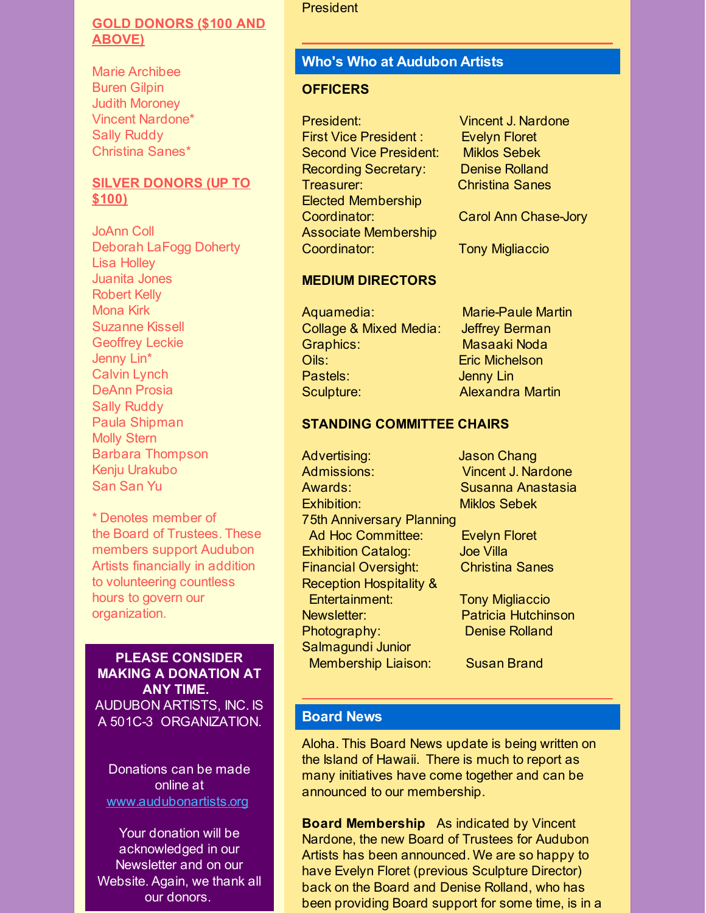#### **GOLD DONORS (\$100 AND ABOVE)**

Marie Archibee Buren Gilpin Judith Moroney Vincent Nardone\* Sally Ruddy Christina Sanes\*

#### **SILVER DONORS (UP TO \$100)**

JoAnn Coll Deborah LaFogg Doherty Lisa Holley Juanita Jones Robert Kelly Mona Kirk Suzanne Kissell Geoffrey Leckie Jenny Lin\* Calvin Lynch DeAnn Prosia Sally Ruddy Paula Shipman Molly Stern Barbara Thompson Kenju Urakubo San San Yu

\* Denotes member of the Board of Trustees. These members support Audubon Artists financially in addition to volunteering countless hours to govern our organization.

**PLEASE CONSIDER MAKING A DONATION AT ANY TIME.** AUDUBON ARTISTS, INC. IS A 501C-3 ORGANIZATION.

Donations can be made online at [www.audubonartists.org](http://r20.rs6.net/tn.jsp?f=001pAyFF7PLtYc6aEY8gBRM3Rh2CIWusRIsgva6ZpmM5NmpMH5baHx3LcSlN9b9cg4OY7My2VB7tyiZMMGe-zSn0zmcnVaKgT1HcI85ZQbASepTSBmx9dIc1563GTUqBxtGQytegF5Q2Hn6RtoNm5LodGyao4a193kb0a9c9TetpLaIPtVSn3vq7QQ5fvDBPrJP&c=&ch=)

Your donation will be acknowledged in our Newsletter and on our Website. Again, we thank all our donors.

#### **President**

## **Who's Who at Audubon Artists**

#### **OFFICERS**

President: Vincent J. Nardone First Vice President : Evelyn Floret Second Vice President: Miklos Sebek Recording Secretary: Denise Rolland Treasurer: Christina Sanes Elected Membership Coordinator: Carol Ann Chase-Jory Associate Membership Coordinator: Tony Migliaccio

#### **MEDIUM DIRECTORS**

Aquamedia: Marie-Paule Martin Collage & Mixed Media: Jeffrey Berman Graphics: Masaaki Noda Oils: Eric Michelson Pastels: **Jenny Lin** Sculpture: **Alexandra Martin** 

#### **STANDING COMMITTEE CHAIRS**

Advertising: Jason Chang Admissions: Vincent J. Nardone Awards: Susanna Anastasia Exhibition: Miklos Sebek 75th Anniversary Planning Ad Hoc Committee: Evelyn Floret Exhibition Catalog: Joe Villa Financial Oversight: Christina Sanes Reception Hospitality & Entertainment: Tony Migliaccio Newsletter: Patricia Hutchinson Photography: Denise Rolland Salmagundi Junior Membership Liaison: Susan Brand

## **Board News**

Aloha. This Board News update is being written on the Island of Hawaii. There is much to report as many initiatives have come together and can be announced to our membership.

**Board Membership** As indicated by Vincent Nardone, the new Board of Trustees for Audubon Artists has been announced. We are so happy to have Evelyn Floret (previous Sculpture Director) back on the Board and Denise Rolland, who has been providing Board support for some time, is in a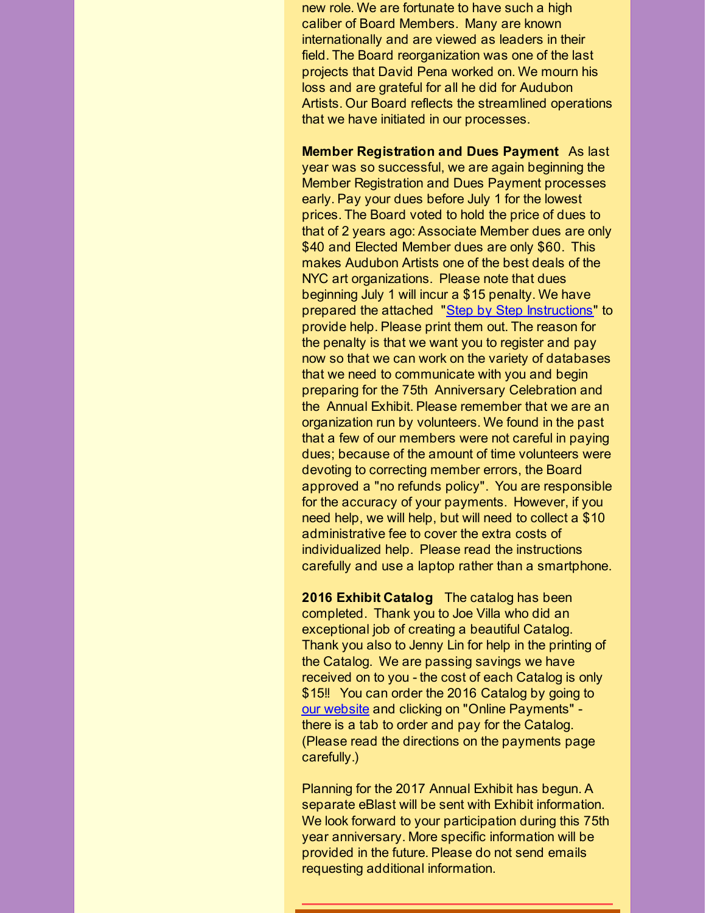new role. We are fortunate to have such a high caliber of Board Members. Many are known internationally and are viewed as leaders in their field. The Board reorganization was one of the last projects that David Pena worked on. We mourn his loss and are grateful for all he did for Audubon Artists. Our Board reflects the streamlined operations that we have initiated in our processes.

**Member Registration and Dues Payment** As last year was so successful, we are again beginning the Member Registration and Dues Payment processes early. Pay your dues before July 1 for the lowest prices. The Board voted to hold the price of dues to that of 2 years ago: Associate Member dues are only \$40 and Elected Member dues are only \$60. This makes Audubon Artists one of the best deals of the NYC art organizations. Please note that dues beginning July 1 will incur a \$15 penalty. We have prepared the attached "Step by Step [Instructions](http://r20.rs6.net/tn.jsp?f=001pAyFF7PLtYc6aEY8gBRM3Rh2CIWusRIsgva6ZpmM5NmpMH5baHx3LU5YoUIHVpiOUkSBiRrBBg0IfLD2_w4xXr4J-CPp0UDQLR0lRFd5cqb5AmuYt89GA2I2bOrIaHDMpOa1b-NlKDg7Q4pbXumyH9fepLUKeozvwqzcUJl_ih9uuNSk7nicKMDl65MYBAoA2EWwqUXeXT4OnXEekIgh2jZSXhazq8sBiBR1PKKuBwK__U6z3FzgU9McU7SvGILu&c=&ch=)" to provide help. Please print them out. The reason for the penalty is that we want you to register and pay now so that we can work on the variety of databases that we need to communicate with you and begin preparing for the 75th Anniversary Celebration and the Annual Exhibit. Please remember that we are an organization run by volunteers. We found in the past that a few of our members were not careful in paying dues; because of the amount of time volunteers were devoting to correcting member errors, the Board approved a "no refunds policy". You are responsible for the accuracy of your payments. However, if you need help, we will help, but will need to collect a \$10 administrative fee to cover the extra costs of individualized help. Please read the instructions carefully and use a laptop rather than a smartphone.

**2016 Exhibit Catalog** The catalog has been completed. Thank you to Joe Villa who did an exceptional job of creating a beautiful Catalog. Thank you also to Jenny Lin for help in the printing of the Catalog. We are passing savings we have received on to you - the cost of each Catalog is only \$15!! You can order the 2016 Catalog by going to our [website](http://r20.rs6.net/tn.jsp?f=001pAyFF7PLtYc6aEY8gBRM3Rh2CIWusRIsgva6ZpmM5NmpMH5baHx3Lc70tC5L2_6PTC6s-A4nsWTwJ6bIYLcdgcOVZ4SfFUHMhNOe4eloA1bATqNjVj8qhbT0H_xlII4PllHZfFolacTeb5M1tj4hMhSHYAKQUPgc25GzurdhS8aDLmGUz8ee9MyA424a1X1Q&c=&ch=) and clicking on "Online Payments" there is a tab to order and pay for the Catalog. (Please read the directions on the payments page carefully.)

Planning for the 2017 Annual Exhibit has begun. A separate eBlast will be sent with Exhibit information. We look forward to your participation during this 75th year anniversary. More specific information will be provided in the future. Please do not send emails requesting additional information.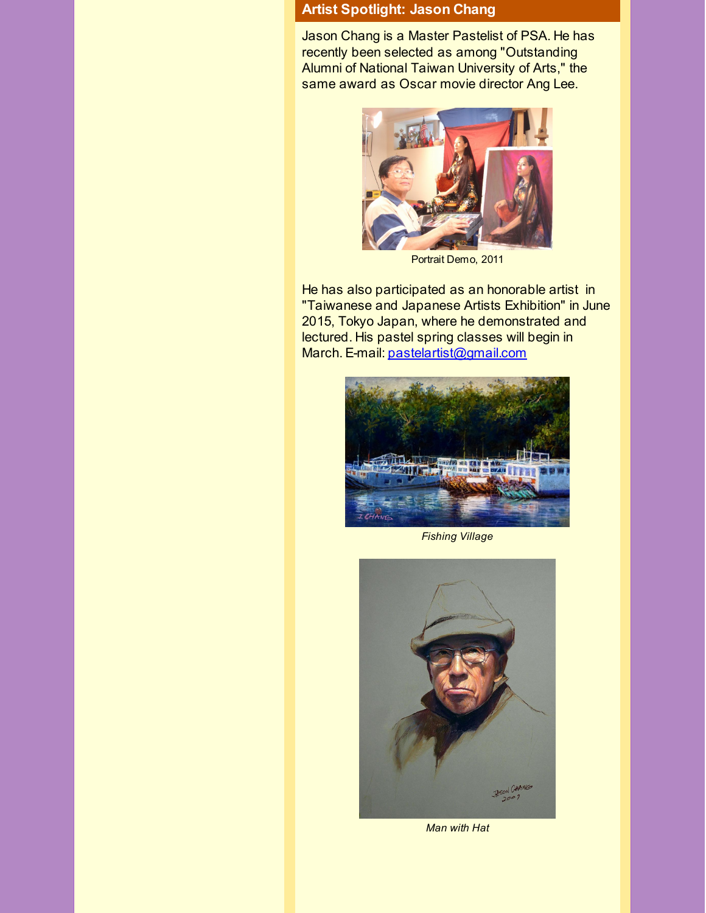## **Artist Spotlight: Jason Chang**

Jason Chang is a Master Pastelist of PSA. He has recently been selected as among "Outstanding Alumni of National Taiwan University of Arts," the same award as Oscar movie director Ang Lee.



Portrait Demo, 2011

He has also participated as an honorable artist in "Taiwanese and Japanese Artists Exhibition" in June 2015, Tokyo Japan, where he demonstrated and lectured. His pastel spring classes will begin in March. E-mail: [pastelartist@gmail.com](mailto:pastelartist@gmail.com)



*Fishing Village*



*Man with Hat*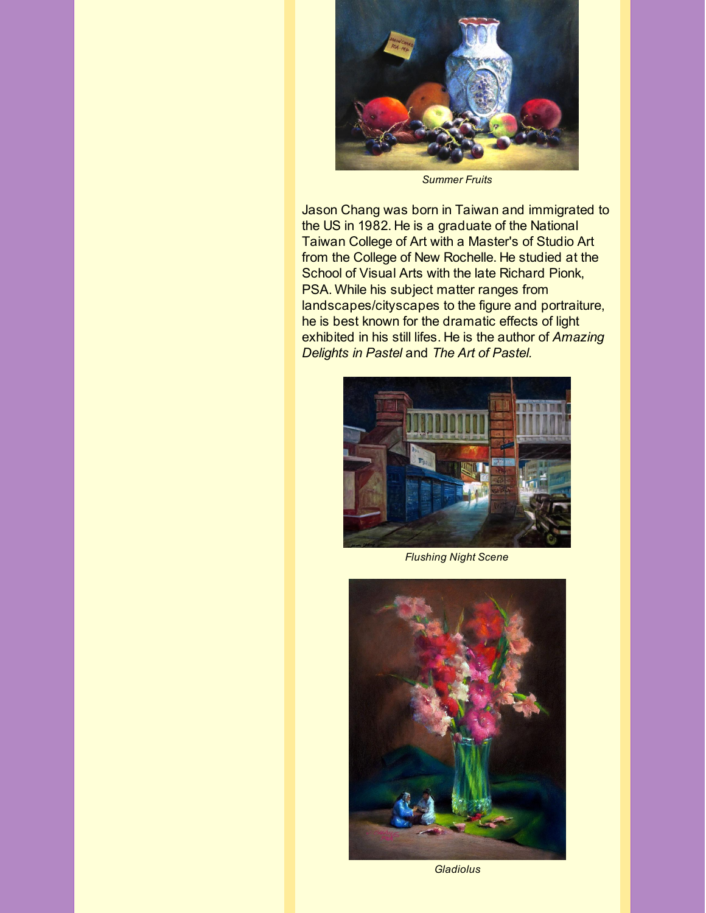

*Summer Fruits*

Jason Chang was born in Taiwan and immigrated to the US in 1982. He is a graduate of the National Taiwan College of Art with a Master's of Studio Art from the College of New Rochelle. He studied at the School of Visual Arts with the late Richard Pionk, PSA. While his subject matter ranges from landscapes/cityscapes to the figure and portraiture, he is best known for the dramatic effects of light exhibited in his still lifes. He is the author of *Amazing Delights in Pastel* and *The Art of Pastel.*



*Flushing Night Scene*



*Gladiolus*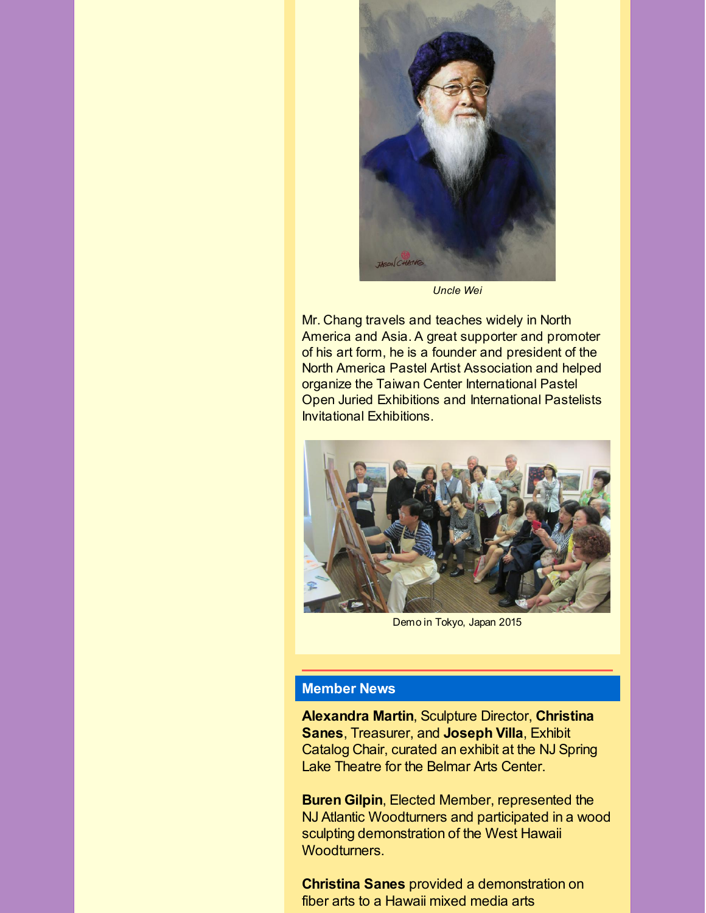

*Uncle Wei*

Mr. Chang travels and teaches widely in North America and Asia. A great supporter and promoter of his art form, he is a founder and president of the North America Pastel Artist Association and helped organize the Taiwan Center International Pastel Open Juried Exhibitions and International Pastelists Invitational Exhibitions.



Demo in Tokyo, Japan 2015

## **Member News**

**Alexandra Martin**, Sculpture Director, **Christina Sanes**, Treasurer, and **Joseph Villa**, Exhibit Catalog Chair, curated an exhibit at the NJ Spring Lake Theatre for the Belmar Arts Center.

**Buren Gilpin**, Elected Member, represented the NJ Atlantic Woodturners and participated in a wood sculpting demonstration of the West Hawaii Woodturners.

**Christina Sanes** provided a demonstration on fiber arts to a Hawaii mixed media arts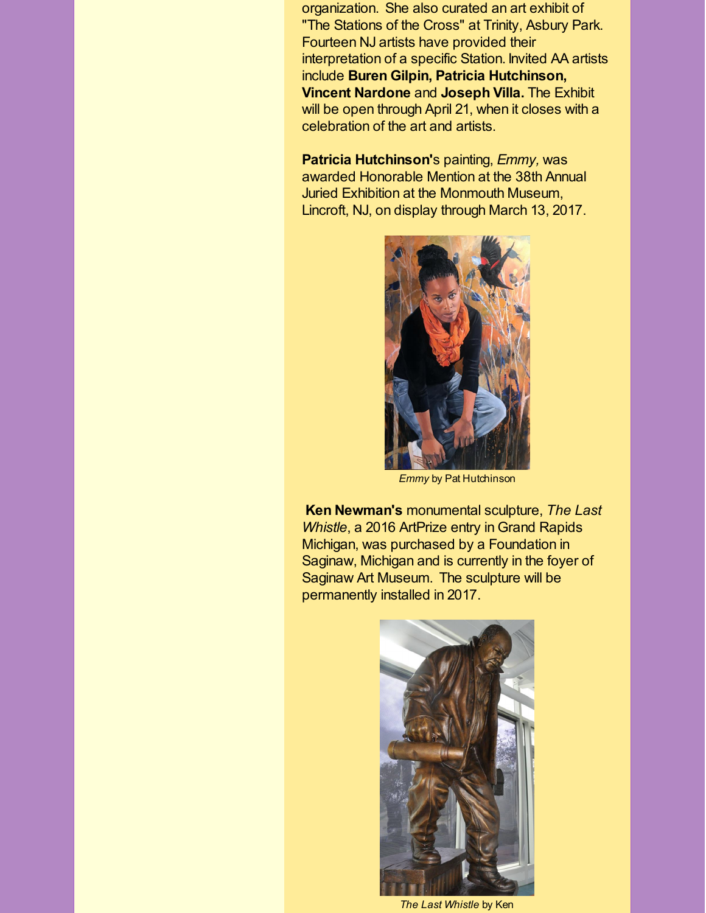organization. She also curated an art exhibit of "The Stations of the Cross" at Trinity, Asbury Park. Fourteen NJ artists have provided their interpretation of a specific Station. Invited AA artists include **Buren Gilpin, Patricia Hutchinson, Vincent Nardone** and **Joseph Villa.** The Exhibit will be open through April 21, when it closes with a celebration of the art and artists.

**Patricia Hutchinson'**s painting, *Emmy,* was awarded Honorable Mention at the 38th Annual Juried Exhibition at the Monmouth Museum, Lincroft, NJ, on display through March 13, 2017.



*Emmy* by Pat Hutchinson

**Ken Newman's** monumental sculpture, *The Last Whistle*, a 2016 ArtPrize entry in Grand Rapids Michigan, was purchased by a Foundation in Saginaw, Michigan and is currently in the foyer of Saginaw Art Museum. The sculpture will be permanently installed in 2017.



*The Last Whistle* by Ken